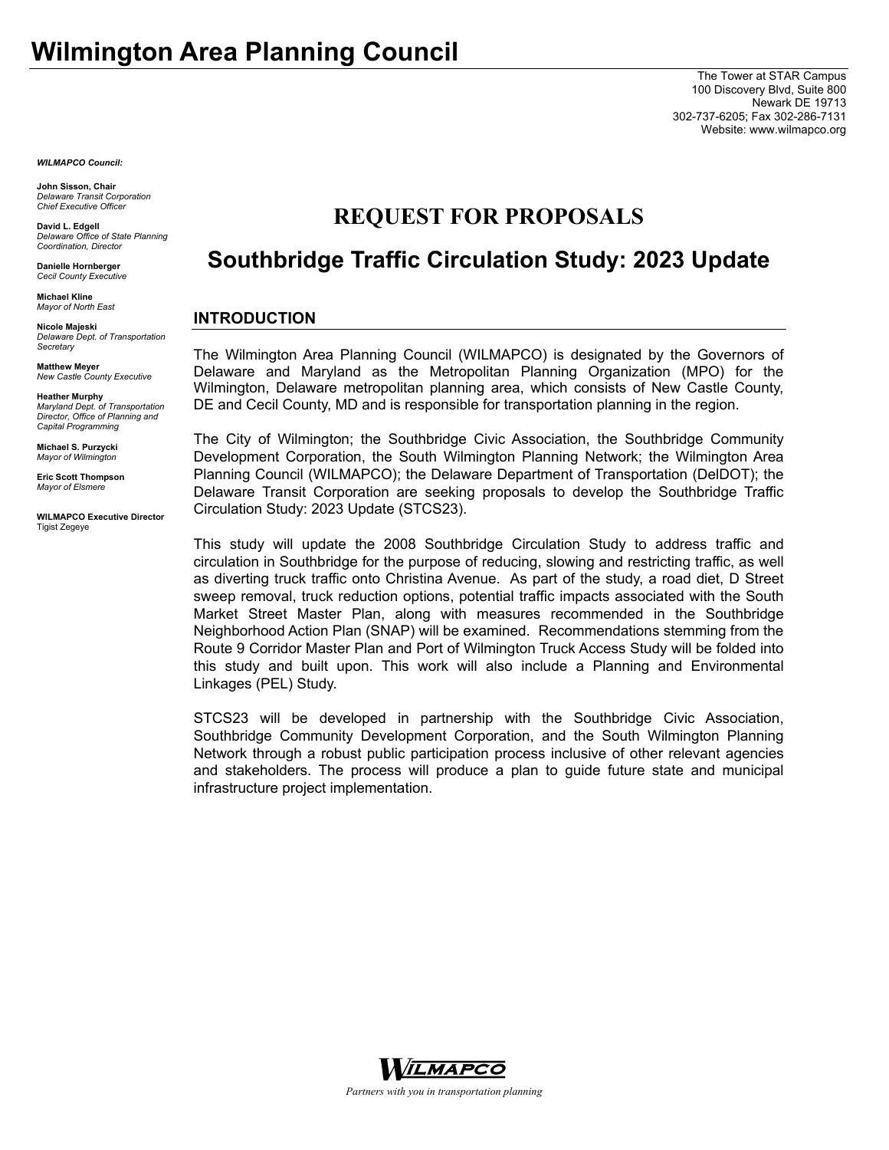The Tower at STAR Campus 100 Discovery Blvd, Suite 800 Newark DE 19713 302-737-6205; Fax 302-286-7131 Website: www.wilmapco.org

*WILMAPCO Council:*

**John Sisson, Chair**  *Delaware Transit Corporation Chief Executive Officer*

**David L. Edgell**  *Delaware Office of State Planning Coordination, Director*

**Danielle Hornberger** *Cecil County Executive* 

**Michael Kline**  *Mayor of North East* 

**Nicole Majeski**  *Delaware Dept. of Transportation Secretary*

**Matthew Meyer**  *New Castle County Executive* 

**Heather Murphy**  *Maryland Dept. of Transportation Director, Office of Planning and Capital Programming* 

**Michael S. Purzycki**  *Mayor of Wilmington*

**Eric Scott Thompson**  *Mayor of Elsmere* 

**WILMAPCO Executive Director**  Tigist Zegeye

# **REQUEST FOR PROPOSALS**

# **Southbridge Traffic Circulation Study: 2023 Update**

## **INTRODUCTION**

The Wilmington Area Planning Council (WILMAPCO) is designated by the Governors of Delaware and Maryland as the Metropolitan Planning Organization (MPO) for the Wilmington, Delaware metropolitan planning area, which consists of New Castle County, DE and Cecil County, MD and is responsible for transportation planning in the region.

The City of Wilmington; the Southbridge Civic Association, the Southbridge Community Development Corporation, the South Wilmington Planning Network; the Wilmington Area Planning Council (WILMAPCO); the Delaware Department of Transportation (DelDOT); the Delaware Transit Corporation are seeking proposals to develop the Southbridge Traffic Circulation Study: 2023 Update (STCS23).

This study will update the 2008 Southbridge Circulation Study to address traffic and circulation in Southbridge for the purpose of reducing, slowing and restricting traffic, as well as diverting truck traffic onto Christina Avenue. As part of the study, a road diet, D Street sweep removal, truck reduction options, potential traffic impacts associated with the South Market Street Master Plan, along with measures recommended in the Southbridge Neighborhood Action Plan (SNAP) will be examined. Recommendations stemming from the Route 9 Corridor Master Plan and Port of Wilmington Truck Access Study will be folded into this study and built upon. This work will also include a Planning and Environmental Linkages (PEL) Study.

STCS23 will be developed in partnership with the Southbridge Civic Association, Southbridge Community Development Corporation, and the South Wilmington Planning Network through a robust public participation process inclusive of other relevant agencies and stakeholders. The process will produce a plan to guide future state and municipal infrastructure project implementation.

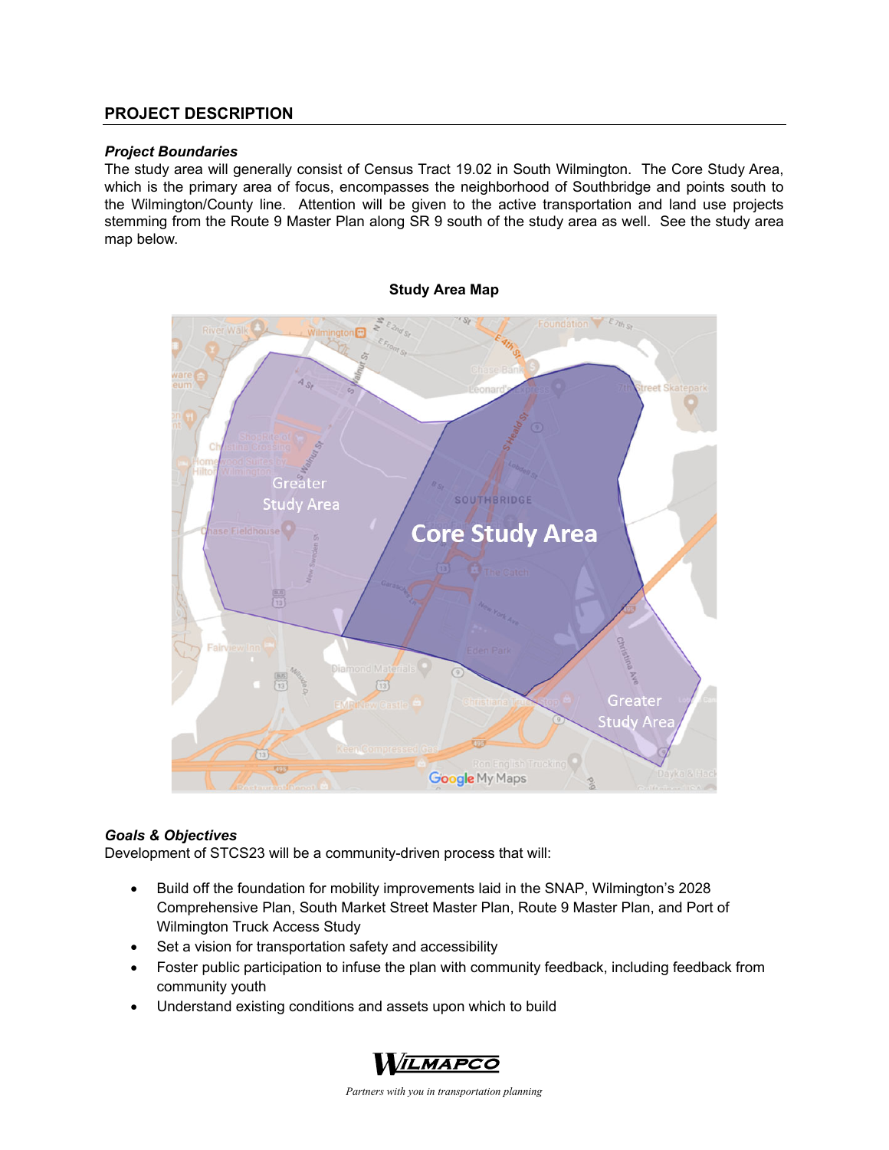## **PROJECT DESCRIPTION**

#### *Project Boundaries*

The study area will generally consist of Census Tract 19.02 in South Wilmington. The Core Study Area, which is the primary area of focus, encompasses the neighborhood of Southbridge and points south to the Wilmington/County line. Attention will be given to the active transportation and land use projects stemming from the Route 9 Master Plan along SR 9 south of the study area as well. See the study area map below.



## *Goals & Objectives*

Development of STCS23 will be a community-driven process that will:

- Build off the foundation for mobility improvements laid in the SNAP, Wilmington's 2028 Comprehensive Plan, South Market Street Master Plan, Route 9 Master Plan, and Port of Wilmington Truck Access Study
- Set a vision for transportation safety and accessibility
- Foster public participation to infuse the plan with community feedback, including feedback from community youth
- Understand existing conditions and assets upon which to build

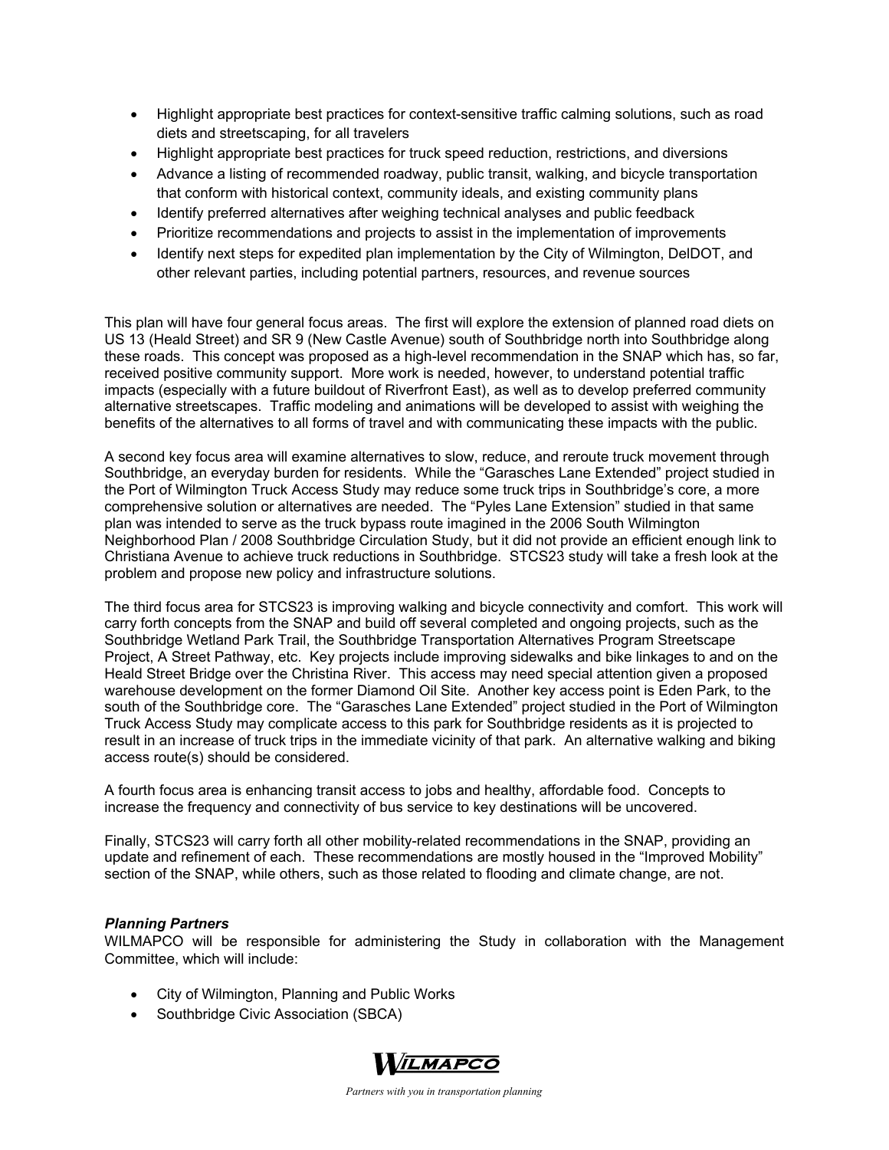- Highlight appropriate best practices for context-sensitive traffic calming solutions, such as road diets and streetscaping, for all travelers
- Highlight appropriate best practices for truck speed reduction, restrictions, and diversions
- Advance a listing of recommended roadway, public transit, walking, and bicycle transportation that conform with historical context, community ideals, and existing community plans
- Identify preferred alternatives after weighing technical analyses and public feedback
- Prioritize recommendations and projects to assist in the implementation of improvements
- Identify next steps for expedited plan implementation by the City of Wilmington, DelDOT, and other relevant parties, including potential partners, resources, and revenue sources

This plan will have four general focus areas. The first will explore the extension of planned road diets on US 13 (Heald Street) and SR 9 (New Castle Avenue) south of Southbridge north into Southbridge along these roads. This concept was proposed as a high-level recommendation in the SNAP which has, so far, received positive community support. More work is needed, however, to understand potential traffic impacts (especially with a future buildout of Riverfront East), as well as to develop preferred community alternative streetscapes. Traffic modeling and animations will be developed to assist with weighing the benefits of the alternatives to all forms of travel and with communicating these impacts with the public.

A second key focus area will examine alternatives to slow, reduce, and reroute truck movement through Southbridge, an everyday burden for residents. While the "Garasches Lane Extended" project studied in the Port of Wilmington Truck Access Study may reduce some truck trips in Southbridge's core, a more comprehensive solution or alternatives are needed. The "Pyles Lane Extension" studied in that same plan was intended to serve as the truck bypass route imagined in the 2006 South Wilmington Neighborhood Plan / 2008 Southbridge Circulation Study, but it did not provide an efficient enough link to Christiana Avenue to achieve truck reductions in Southbridge. STCS23 study will take a fresh look at the problem and propose new policy and infrastructure solutions.

The third focus area for STCS23 is improving walking and bicycle connectivity and comfort. This work will carry forth concepts from the SNAP and build off several completed and ongoing projects, such as the Southbridge Wetland Park Trail, the Southbridge Transportation Alternatives Program Streetscape Project, A Street Pathway, etc. Key projects include improving sidewalks and bike linkages to and on the Heald Street Bridge over the Christina River. This access may need special attention given a proposed warehouse development on the former Diamond Oil Site. Another key access point is Eden Park, to the south of the Southbridge core. The "Garasches Lane Extended" project studied in the Port of Wilmington Truck Access Study may complicate access to this park for Southbridge residents as it is projected to result in an increase of truck trips in the immediate vicinity of that park. An alternative walking and biking access route(s) should be considered.

A fourth focus area is enhancing transit access to jobs and healthy, affordable food. Concepts to increase the frequency and connectivity of bus service to key destinations will be uncovered.

Finally, STCS23 will carry forth all other mobility-related recommendations in the SNAP, providing an update and refinement of each. These recommendations are mostly housed in the "Improved Mobility" section of the SNAP, while others, such as those related to flooding and climate change, are not.

## *Planning Partners*

WILMAPCO will be responsible for administering the Study in collaboration with the Management Committee, which will include:

- City of Wilmington, Planning and Public Works
- Southbridge Civic Association (SBCA)

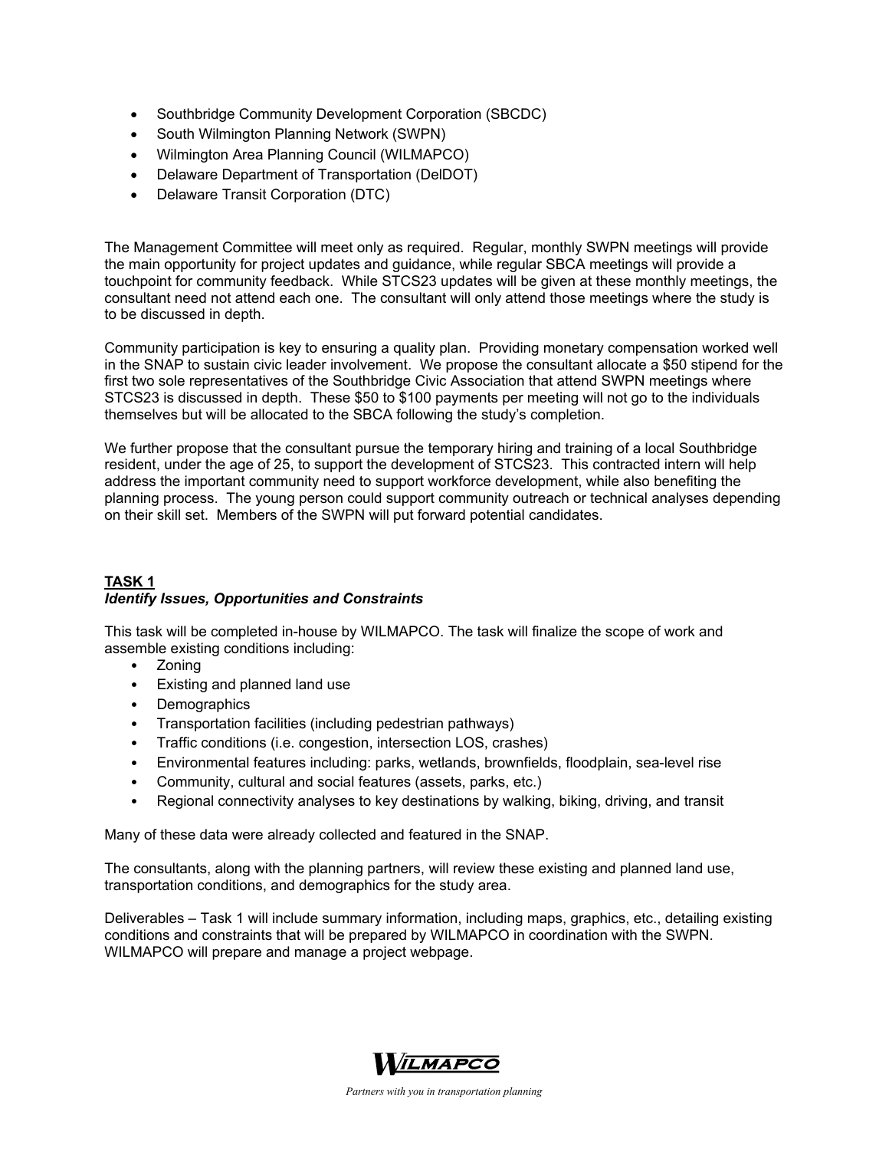- Southbridge Community Development Corporation (SBCDC)
- South Wilmington Planning Network (SWPN)
- Wilmington Area Planning Council (WILMAPCO)
- Delaware Department of Transportation (DelDOT)
- Delaware Transit Corporation (DTC)

The Management Committee will meet only as required. Regular, monthly SWPN meetings will provide the main opportunity for project updates and guidance, while regular SBCA meetings will provide a touchpoint for community feedback. While STCS23 updates will be given at these monthly meetings, the consultant need not attend each one. The consultant will only attend those meetings where the study is to be discussed in depth.

Community participation is key to ensuring a quality plan. Providing monetary compensation worked well in the SNAP to sustain civic leader involvement. We propose the consultant allocate a \$50 stipend for the first two sole representatives of the Southbridge Civic Association that attend SWPN meetings where STCS23 is discussed in depth. These \$50 to \$100 payments per meeting will not go to the individuals themselves but will be allocated to the SBCA following the study's completion.

We further propose that the consultant pursue the temporary hiring and training of a local Southbridge resident, under the age of 25, to support the development of STCS23. This contracted intern will help address the important community need to support workforce development, while also benefiting the planning process. The young person could support community outreach or technical analyses depending on their skill set. Members of the SWPN will put forward potential candidates.

## **TASK 1**  *Identify Issues, Opportunities and Constraints*

This task will be completed in-house by WILMAPCO. The task will finalize the scope of work and assemble existing conditions including:

- Zoning
- Existing and planned land use
- Demographics
- Transportation facilities (including pedestrian pathways)
- Traffic conditions (i.e. congestion, intersection LOS, crashes)
- Environmental features including: parks, wetlands, brownfields, floodplain, sea-level rise
- Community, cultural and social features (assets, parks, etc.)
- Regional connectivity analyses to key destinations by walking, biking, driving, and transit

Many of these data were already collected and featured in the SNAP.

The consultants, along with the planning partners, will review these existing and planned land use, transportation conditions, and demographics for the study area.

Deliverables – Task 1 will include summary information, including maps, graphics, etc., detailing existing conditions and constraints that will be prepared by WILMAPCO in coordination with the SWPN. WILMAPCO will prepare and manage a project webpage.

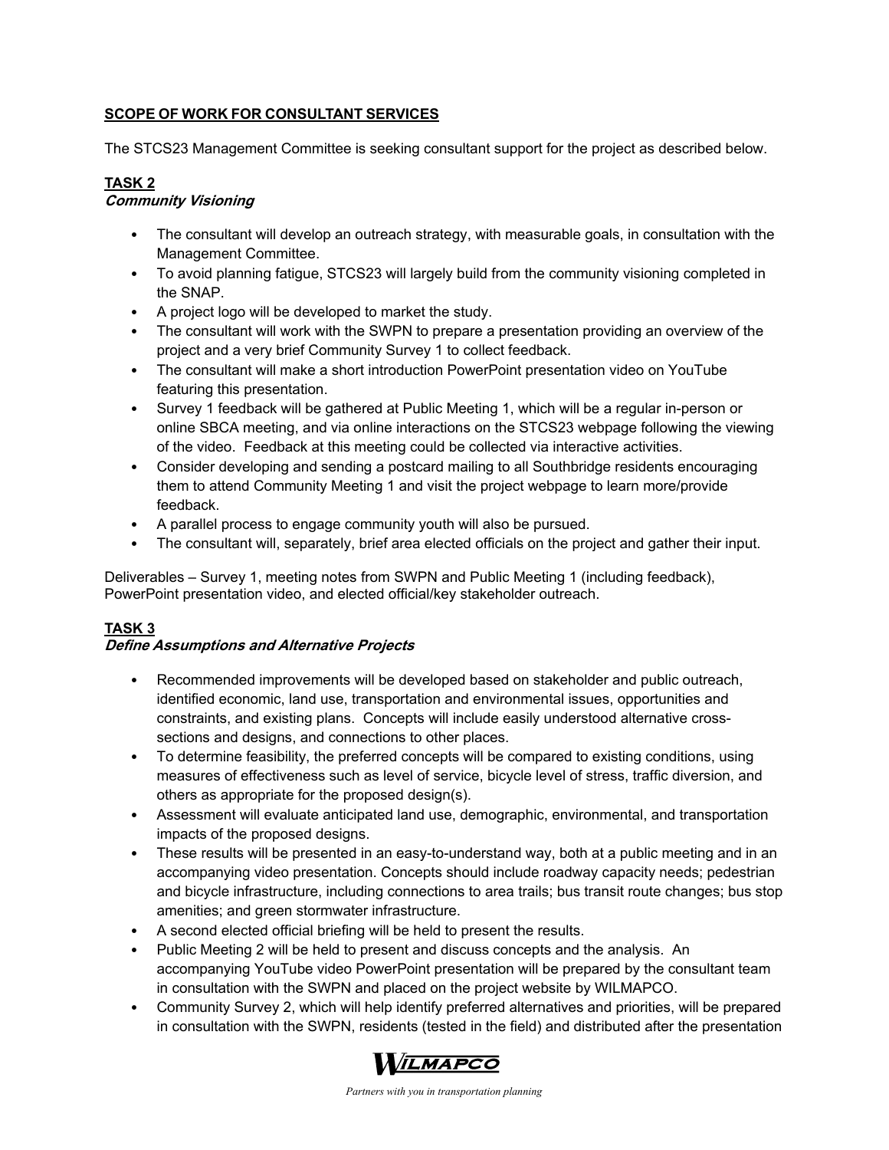## **SCOPE OF WORK FOR CONSULTANT SERVICES**

The STCS23 Management Committee is seeking consultant support for the project as described below.

# **TASK 2**

## **Community Visioning**

- The consultant will develop an outreach strategy, with measurable goals, in consultation with the Management Committee.
- To avoid planning fatigue, STCS23 will largely build from the community visioning completed in the SNAP.
- A project logo will be developed to market the study.
- The consultant will work with the SWPN to prepare a presentation providing an overview of the project and a very brief Community Survey 1 to collect feedback.
- The consultant will make a short introduction PowerPoint presentation video on YouTube featuring this presentation.
- Survey 1 feedback will be gathered at Public Meeting 1, which will be a regular in-person or online SBCA meeting, and via online interactions on the STCS23 webpage following the viewing of the video. Feedback at this meeting could be collected via interactive activities.
- Consider developing and sending a postcard mailing to all Southbridge residents encouraging them to attend Community Meeting 1 and visit the project webpage to learn more/provide feedback.
- A parallel process to engage community youth will also be pursued.
- The consultant will, separately, brief area elected officials on the project and gather their input.

Deliverables – Survey 1, meeting notes from SWPN and Public Meeting 1 (including feedback), PowerPoint presentation video, and elected official/key stakeholder outreach.

## **TASK 3**

## **Define Assumptions and Alternative Projects**

- Recommended improvements will be developed based on stakeholder and public outreach, identified economic, land use, transportation and environmental issues, opportunities and constraints, and existing plans. Concepts will include easily understood alternative crosssections and designs, and connections to other places.
- To determine feasibility, the preferred concepts will be compared to existing conditions, using measures of effectiveness such as level of service, bicycle level of stress, traffic diversion, and others as appropriate for the proposed design(s).
- Assessment will evaluate anticipated land use, demographic, environmental, and transportation impacts of the proposed designs.
- These results will be presented in an easy-to-understand way, both at a public meeting and in an accompanying video presentation. Concepts should include roadway capacity needs; pedestrian and bicycle infrastructure, including connections to area trails; bus transit route changes; bus stop amenities; and green stormwater infrastructure.
- A second elected official briefing will be held to present the results.
- Public Meeting 2 will be held to present and discuss concepts and the analysis. An accompanying YouTube video PowerPoint presentation will be prepared by the consultant team in consultation with the SWPN and placed on the project website by WILMAPCO.
- Community Survey 2, which will help identify preferred alternatives and priorities, will be prepared in consultation with the SWPN, residents (tested in the field) and distributed after the presentation

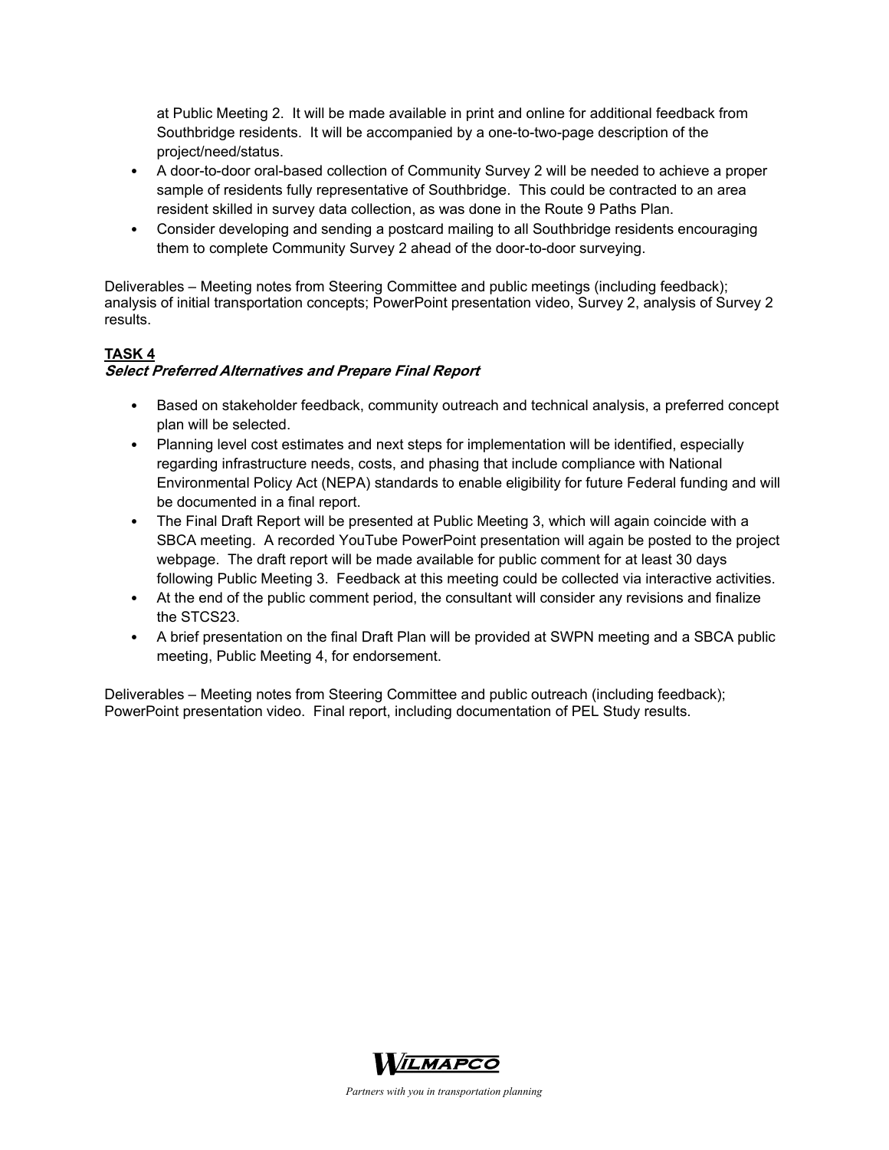at Public Meeting 2. It will be made available in print and online for additional feedback from Southbridge residents. It will be accompanied by a one-to-two-page description of the project/need/status.

- A door-to-door oral-based collection of Community Survey 2 will be needed to achieve a proper sample of residents fully representative of Southbridge. This could be contracted to an area resident skilled in survey data collection, as was done in the Route 9 Paths Plan.
- Consider developing and sending a postcard mailing to all Southbridge residents encouraging them to complete Community Survey 2 ahead of the door-to-door surveying.

Deliverables – Meeting notes from Steering Committee and public meetings (including feedback); analysis of initial transportation concepts; PowerPoint presentation video, Survey 2, analysis of Survey 2 results.

## **TASK 4**

## **Select Preferred Alternatives and Prepare Final Report**

- Based on stakeholder feedback, community outreach and technical analysis, a preferred concept plan will be selected.
- Planning level cost estimates and next steps for implementation will be identified, especially regarding infrastructure needs, costs, and phasing that include compliance with National Environmental Policy Act (NEPA) standards to enable eligibility for future Federal funding and will be documented in a final report.
- The Final Draft Report will be presented at Public Meeting 3, which will again coincide with a SBCA meeting. A recorded YouTube PowerPoint presentation will again be posted to the project webpage. The draft report will be made available for public comment for at least 30 days following Public Meeting 3. Feedback at this meeting could be collected via interactive activities.
- At the end of the public comment period, the consultant will consider any revisions and finalize the STCS23.
- A brief presentation on the final Draft Plan will be provided at SWPN meeting and a SBCA public meeting, Public Meeting 4, for endorsement.

Deliverables – Meeting notes from Steering Committee and public outreach (including feedback); PowerPoint presentation video. Final report, including documentation of PEL Study results.

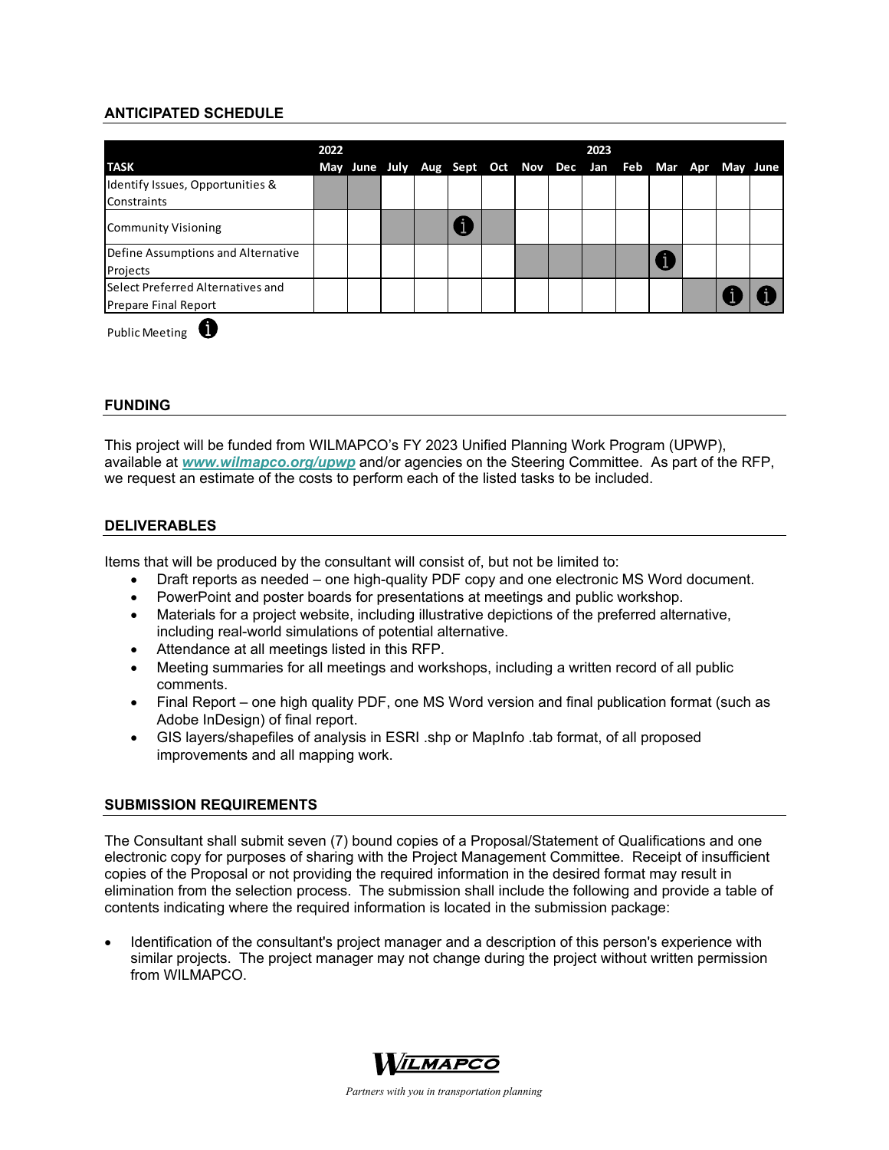## **ANTICIPATED SCHEDULE**

|                                    | 2022 |  |                                                             |  | 2023 |  |  |  |
|------------------------------------|------|--|-------------------------------------------------------------|--|------|--|--|--|
| <b>TASK</b>                        |      |  | May June July Aug Sept Oct Nov Dec Jan Feb Mar Apr May June |  |      |  |  |  |
| Identify Issues, Opportunities &   |      |  |                                                             |  |      |  |  |  |
| <b>Constraints</b>                 |      |  |                                                             |  |      |  |  |  |
| Community Visioning                |      |  |                                                             |  |      |  |  |  |
| Define Assumptions and Alternative |      |  |                                                             |  |      |  |  |  |
| Projects                           |      |  |                                                             |  |      |  |  |  |
| Select Preferred Alternatives and  |      |  |                                                             |  |      |  |  |  |
| <b>Prepare Final Report</b>        |      |  |                                                             |  |      |  |  |  |
| <b>Public Meeting</b>              |      |  |                                                             |  |      |  |  |  |

**FUNDING** 

This project will be funded from WILMAPCO's FY 2023 Unified Planning Work Program (UPWP), available at *www.wilmapco.org/upwp* and/or agencies on the Steering Committee. As part of the RFP, we request an estimate of the costs to perform each of the listed tasks to be included.

#### **DELIVERABLES**

Items that will be produced by the consultant will consist of, but not be limited to:

- Draft reports as needed one high-quality PDF copy and one electronic MS Word document.
- PowerPoint and poster boards for presentations at meetings and public workshop.
- Materials for a project website, including illustrative depictions of the preferred alternative, including real-world simulations of potential alternative.
- Attendance at all meetings listed in this RFP.
- Meeting summaries for all meetings and workshops, including a written record of all public comments.
- Final Report one high quality PDF, one MS Word version and final publication format (such as Adobe InDesign) of final report.
- GIS layers/shapefiles of analysis in ESRI .shp or MapInfo .tab format, of all proposed improvements and all mapping work.

#### **SUBMISSION REQUIREMENTS**

The Consultant shall submit seven (7) bound copies of a Proposal/Statement of Qualifications and one electronic copy for purposes of sharing with the Project Management Committee. Receipt of insufficient copies of the Proposal or not providing the required information in the desired format may result in elimination from the selection process. The submission shall include the following and provide a table of contents indicating where the required information is located in the submission package:

 Identification of the consultant's project manager and a description of this person's experience with similar projects. The project manager may not change during the project without written permission from WILMAPCO.

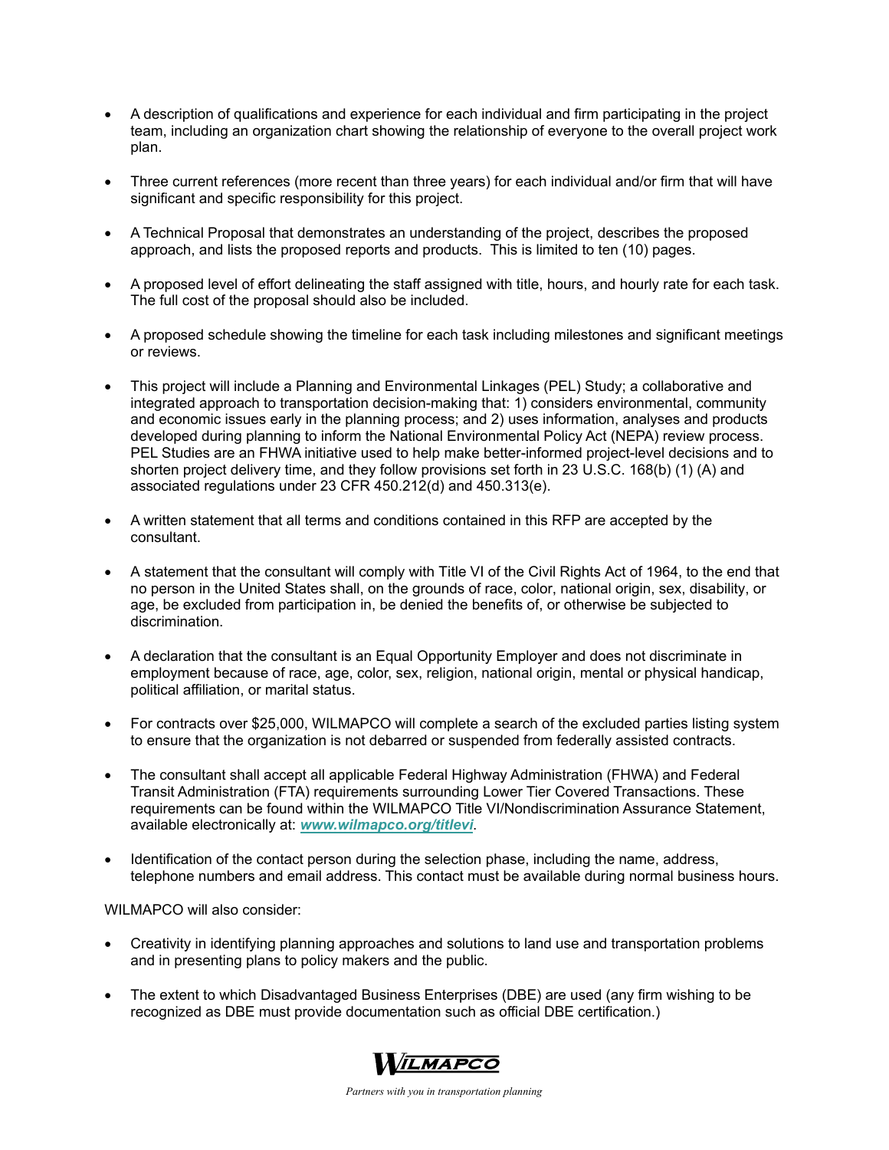- A description of qualifications and experience for each individual and firm participating in the project team, including an organization chart showing the relationship of everyone to the overall project work plan.
- Three current references (more recent than three years) for each individual and/or firm that will have significant and specific responsibility for this project.
- A Technical Proposal that demonstrates an understanding of the project, describes the proposed approach, and lists the proposed reports and products. This is limited to ten (10) pages.
- A proposed level of effort delineating the staff assigned with title, hours, and hourly rate for each task. The full cost of the proposal should also be included.
- A proposed schedule showing the timeline for each task including milestones and significant meetings or reviews.
- This project will include a Planning and Environmental Linkages (PEL) Study; a collaborative and integrated approach to transportation decision-making that: 1) considers environmental, community and economic issues early in the planning process; and 2) uses information, analyses and products developed during planning to inform the National Environmental Policy Act (NEPA) review process. PEL Studies are an FHWA initiative used to help make better-informed project-level decisions and to shorten project delivery time, and they follow provisions set forth in 23 U.S.C. 168(b) (1) (A) and associated regulations under 23 CFR 450.212(d) and 450.313(e).
- A written statement that all terms and conditions contained in this RFP are accepted by the consultant.
- A statement that the consultant will comply with Title VI of the Civil Rights Act of 1964, to the end that no person in the United States shall, on the grounds of race, color, national origin, sex, disability, or age, be excluded from participation in, be denied the benefits of, or otherwise be subjected to discrimination.
- A declaration that the consultant is an Equal Opportunity Employer and does not discriminate in employment because of race, age, color, sex, religion, national origin, mental or physical handicap, political affiliation, or marital status.
- For contracts over \$25,000, WILMAPCO will complete a search of the excluded parties listing system to ensure that the organization is not debarred or suspended from federally assisted contracts.
- The consultant shall accept all applicable Federal Highway Administration (FHWA) and Federal Transit Administration (FTA) requirements surrounding Lower Tier Covered Transactions. These requirements can be found within the WILMAPCO Title VI/Nondiscrimination Assurance Statement, available electronically at: *www.wilmapco.org/titlevi*.
- Identification of the contact person during the selection phase, including the name, address, telephone numbers and email address. This contact must be available during normal business hours.

WILMAPCO will also consider:

- Creativity in identifying planning approaches and solutions to land use and transportation problems and in presenting plans to policy makers and the public.
- The extent to which Disadvantaged Business Enterprises (DBE) are used (any firm wishing to be recognized as DBE must provide documentation such as official DBE certification.)